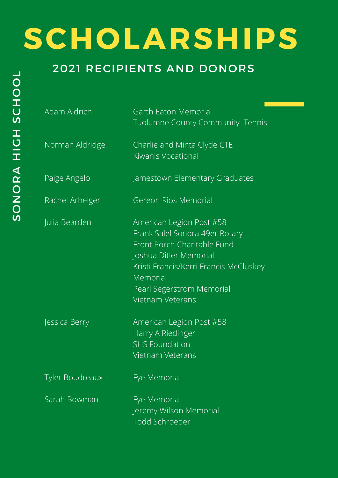| Adam Aldrich           | Garth Eaton Memorial<br>Tuolumne County Community Tennis                                                                                                                                                                          |
|------------------------|-----------------------------------------------------------------------------------------------------------------------------------------------------------------------------------------------------------------------------------|
| Norman Aldridge        | Charlie and Minta Clyde CTE<br><b>Kiwanis Vocational</b>                                                                                                                                                                          |
| Paige Angelo           | Jamestown Elementary Graduates                                                                                                                                                                                                    |
| Rachel Arhelger        | <b>Gereon Rios Memorial</b>                                                                                                                                                                                                       |
| Julia Bearden          | American Legion Post #58<br>Frank Salel Sonora 49er Rotary<br>Front Porch Charitable Fund<br>Joshua Ditler Memorial<br>Kristi Francis/Kerri Francis McCluskey<br>Memorial<br>Pearl Segerstrom Memorial<br><b>Vietnam Veterans</b> |
| Jessica Berry          | American Legion Post #58<br>Harry A Riedinger<br><b>SHS Foundation</b><br><b>Vietnam Veterans</b>                                                                                                                                 |
| <b>Tyler Boudreaux</b> | Fye Memorial                                                                                                                                                                                                                      |
| Sarah Bowman           | Fye Memorial<br>Jeremy Wilson Memorial<br><b>Todd Schroeder</b>                                                                                                                                                                   |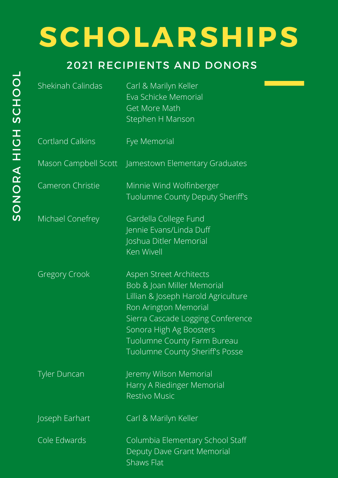| Shekinah Calindas       | Carl & Marilyn Keller<br>Eva Schicke Memorial<br><b>Get More Math</b><br>Stephen H Manson                                                                                                                                                                      |
|-------------------------|----------------------------------------------------------------------------------------------------------------------------------------------------------------------------------------------------------------------------------------------------------------|
| <b>Cortland Calkins</b> | Fye Memorial                                                                                                                                                                                                                                                   |
|                         | Mason Campbell Scott Jamestown Elementary Graduates                                                                                                                                                                                                            |
| Cameron Christie        | Minnie Wind Wolfinberger<br>Tuolumne County Deputy Sheriff's                                                                                                                                                                                                   |
| Michael Conefrey        | Gardella College Fund<br>Jennie Evans/Linda Duff<br>Joshua Ditler Memorial<br>Ken Wivell                                                                                                                                                                       |
| <b>Gregory Crook</b>    | Aspen Street Architects<br>Bob & Joan Miller Memorial<br>Lillian & Joseph Harold Agriculture<br>Ron Arington Memorial<br>Sierra Cascade Logging Conference<br>Sonora High Ag Boosters<br><b>Tuolumne County Farm Bureau</b><br>Tuolumne County Sheriff's Posse |
| <b>Tyler Duncan</b>     | Jeremy Wilson Memorial<br>Harry A Riedinger Memorial<br><b>Restivo Music</b>                                                                                                                                                                                   |
| Joseph Earhart          | Carl & Marilyn Keller                                                                                                                                                                                                                                          |
| Cole Edwards            | Columbia Elementary School Staff<br>Deputy Dave Grant Memorial<br>Shaws Flat                                                                                                                                                                                   |
|                         |                                                                                                                                                                                                                                                                |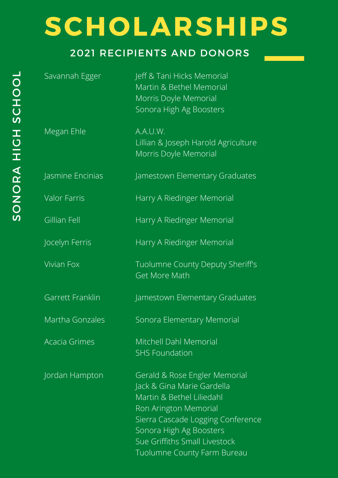<u> Tanzania (</u>

| Savannah Egger       | Jeff & Tani Hicks Memorial<br>Martin & Bethel Memorial<br>Morris Doyle Memorial<br>Sonora High Ag Boosters                                                                                                                                        |
|----------------------|---------------------------------------------------------------------------------------------------------------------------------------------------------------------------------------------------------------------------------------------------|
| Megan Ehle           | A.A.U.W.<br>Lillian & Joseph Harold Agriculture<br>Morris Doyle Memorial                                                                                                                                                                          |
| Jasmine Encinias     | Jamestown Elementary Graduates                                                                                                                                                                                                                    |
| <b>Valor Farris</b>  | Harry A Riedinger Memorial                                                                                                                                                                                                                        |
| <b>Gillian Fell</b>  | Harry A Riedinger Memorial                                                                                                                                                                                                                        |
| Jocelyn Ferris       | Harry A Riedinger Memorial                                                                                                                                                                                                                        |
| <b>Vivian Fox</b>    | Tuolumne County Deputy Sheriff's<br><b>Get More Math</b>                                                                                                                                                                                          |
| Garrett Franklin     | Jamestown Elementary Graduates                                                                                                                                                                                                                    |
| Martha Gonzales      | Sonora Elementary Memorial                                                                                                                                                                                                                        |
| <b>Acacia Grimes</b> | Mitchell Dahl Memorial<br><b>SHS Foundation</b>                                                                                                                                                                                                   |
| Jordan Hampton       | Gerald & Rose Engler Memorial<br>Jack & Gina Marie Gardella<br>Martin & Bethel Liliedahl<br>Ron Arington Memorial<br>Sierra Cascade Logging Conference<br>Sonora High Ag Boosters<br>Sue Griffiths Small Livestock<br>Tuolumne County Farm Bureau |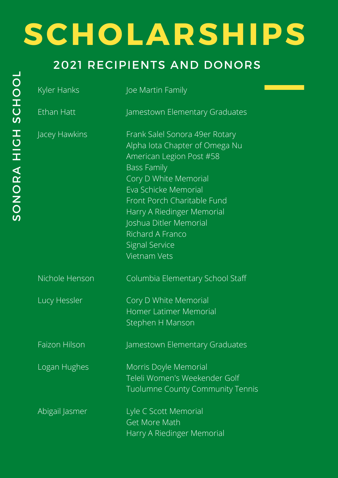| Kyler Hanks          | Joe Martin Family                                                                                                                                                                                                                                                                                                              |
|----------------------|--------------------------------------------------------------------------------------------------------------------------------------------------------------------------------------------------------------------------------------------------------------------------------------------------------------------------------|
| Ethan Hatt           | Jamestown Elementary Graduates                                                                                                                                                                                                                                                                                                 |
| Jacey Hawkins        | Frank Salel Sonora 49er Rotary<br>Alpha lota Chapter of Omega Nu<br>American Legion Post #58<br><b>Bass Family</b><br>Cory D White Memorial<br>Eva Schicke Memorial<br>Front Porch Charitable Fund<br>Harry A Riedinger Memorial<br>Joshua Ditler Memorial<br>Richard A Franco<br><b>Signal Service</b><br><b>Vietnam Vets</b> |
| Nichole Henson       | Columbia Elementary School Staff                                                                                                                                                                                                                                                                                               |
| Lucy Hessler         | Cory D White Memorial<br>Homer Latimer Memorial<br>Stephen H Manson                                                                                                                                                                                                                                                            |
| <b>Faizon Hilson</b> | Jamestown Elementary Graduates                                                                                                                                                                                                                                                                                                 |
| Logan Hughes         | Morris Doyle Memorial<br>Teleli Women's Weekender Golf<br><b>Tuolumne County Community Tennis</b>                                                                                                                                                                                                                              |
| Abigail Jasmer       | Lyle C Scott Memorial<br><b>Get More Math</b><br>Harry A Riedinger Memorial                                                                                                                                                                                                                                                    |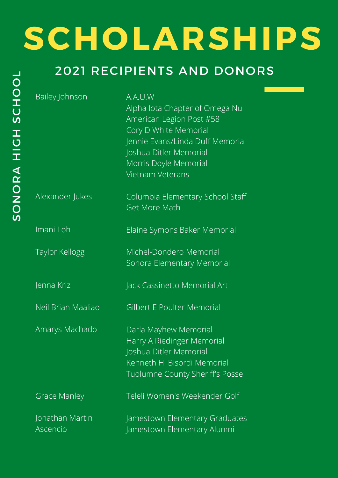### 2021 RECIPIENTS AND DONORS

Bailey Johnson

A.A.U.W

Alpha Iota Chapter of Omega Nu American Legion Post #58 Cory D White Memorial Jennie Evans/Linda Duff Memorial Joshua Ditler Memorial Morris Doyle Memorial Vietnam Veterans

Alexander Jukes

Imani Loh

Taylor Kellogg

Jenna Kriz

Neil Brian Maaliao

Amarys Machado

Grace Manley

Jonathan Martin Ascencio

Columbia Elementary School Staff Get More Math

Elaine Symons Baker Memorial

Michel-Dondero Memorial Sonora Elementary Memorial

Jack Cassinetto Memorial Art

Gilbert E Poulter Memorial

Darla Mayhew Memorial Harry A Riedinger Memorial Joshua Ditler Memorial Kenneth H. Bisordi Memorial Tuolumne County Sheriff's Posse

Teleli Women's Weekender Golf

Jamestown Elementary Graduates Jamestown Elementary Alumni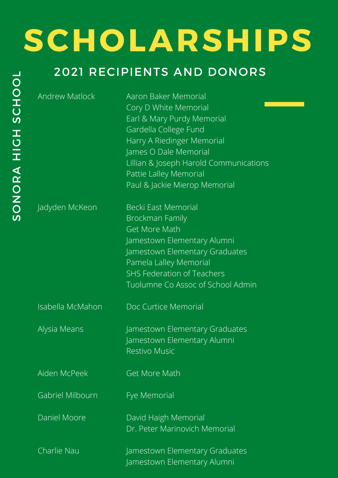#### Z O $\boldsymbol{\alpha}$  $\blacktriangleleft$ O<br>H H<u>ທ</u>  $\mathbf{\mathbf{\mathbf{\mathbf{\mathbf{C}}}}}$ HOO $\mathcal{L}$

<u>ທ</u> O

# **SCHOLARSHIPS**

### 2021 RECIPIENTS AND DONORS

Andrew Matlock

Aaron Baker Memorial Cory D White Memorial Earl & Mary Purdy Memorial Gardella College Fund Harry A Riedinger Memorial James O Dale Memorial Lillian & Joseph Harold Communications Pattie Lalley Memorial Paul & Jackie Mierop Memorial

Jadyden McKeon

Becki East Memorial Brockman Family Get More Math Jamestown Elementary Alumni Jamestown Elementary Graduates Pamela Lalley Memorial SHS Federation of Teachers Tuolumne Co Assoc of School Admin

Isabella McMahon

Doc Curtice Memorial

Jamestown Elementary Graduates Jamestown Elementary Alumni Restivo Music

Aiden McPeek

Alysia Means

Get More Math

Fye Memorial

Gabriel Milbourn

Daniel Moore

David Haigh Memorial Dr. Peter Marinovich Memorial

Charlie Nau Jamestown Elementary Graduates Jamestown Elementary Alumni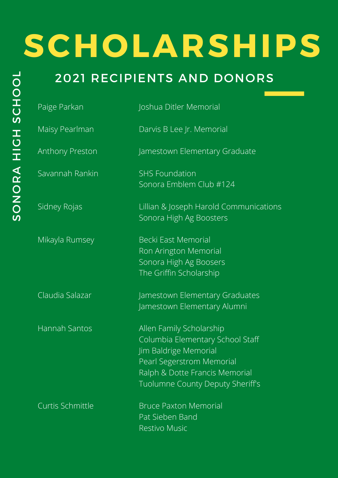| Paige Parkan            | Joshua Ditler Memorial                                                                                                                                                                   |
|-------------------------|------------------------------------------------------------------------------------------------------------------------------------------------------------------------------------------|
| Maisy Pearlman          | Darvis B Lee Jr. Memorial                                                                                                                                                                |
| <b>Anthony Preston</b>  | Jamestown Elementary Graduate                                                                                                                                                            |
| Savannah Rankin         | <b>SHS Foundation</b><br>Sonora Emblem Club #124                                                                                                                                         |
| Sidney Rojas            | Lillian & Joseph Harold Communications<br>Sonora High Ag Boosters                                                                                                                        |
| Mikayla Rumsey          | <b>Becki East Memorial</b><br>Ron Arington Memorial<br>Sonora High Ag Boosers<br>The Griffin Scholarship                                                                                 |
| Claudia Salazar         | Jamestown Elementary Graduates<br>Jamestown Elementary Alumni                                                                                                                            |
| <b>Hannah Santos</b>    | Allen Family Scholarship<br>Columbia Elementary School Staff<br>Jim Baldrige Memorial<br>Pearl Segerstrom Memorial<br>Ralph & Dotte Francis Memorial<br>Tuolumne County Deputy Sheriff's |
| <b>Curtis Schmittle</b> | <b>Bruce Paxton Memorial</b><br>Pat Sieben Band<br><b>Restivo Music</b>                                                                                                                  |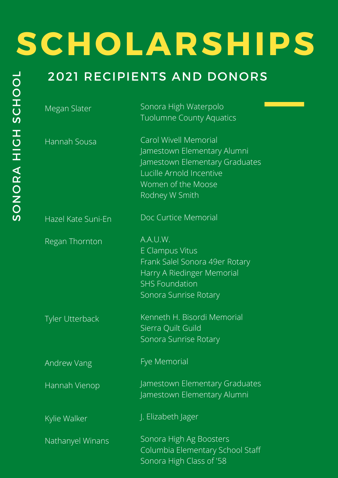| Megan Slater           | Sonora High Waterpolo<br><b>Tuolumne County Aquatics</b>                                                                                                          |
|------------------------|-------------------------------------------------------------------------------------------------------------------------------------------------------------------|
| Hannah Sousa           | <b>Carol Wivell Memorial</b><br>Jamestown Elementary Alumni<br>Jamestown Elementary Graduates<br>Lucille Arnold Incentive<br>Women of the Moose<br>Rodney W Smith |
| Hazel Kate Suni-En     | Doc Curtice Memorial                                                                                                                                              |
| Regan Thornton         | A.A.U.W.<br>E Clampus Vitus<br>Frank Salel Sonora 49er Rotary<br>Harry A Riedinger Memorial<br><b>SHS Foundation</b><br>Sonora Sunrise Rotary                     |
| <b>Tyler Utterback</b> | Kenneth H. Bisordi Memorial<br>Sierra Quilt Guild<br>Sonora Sunrise Rotary                                                                                        |
| Andrew Vang            | Fye Memorial                                                                                                                                                      |
| Hannah Vienop          | Jamestown Elementary Graduates<br>Jamestown Elementary Alumni                                                                                                     |
| Kylie Walker           | J. Elizabeth Jager                                                                                                                                                |
| Nathanyel Winans       | Sonora High Ag Boosters<br>Columbia Elementary School Staff<br>Sonora High Class of '58                                                                           |